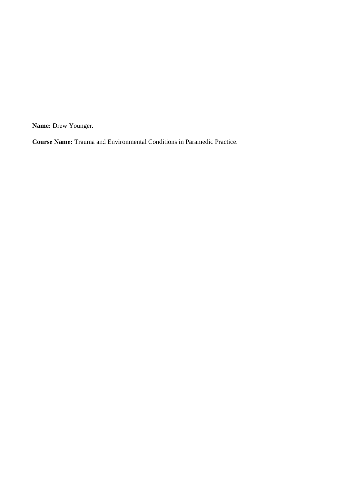**Name:** Drew Younger**.** 

**Course Name:** Trauma and Environmental Conditions in Paramedic Practice.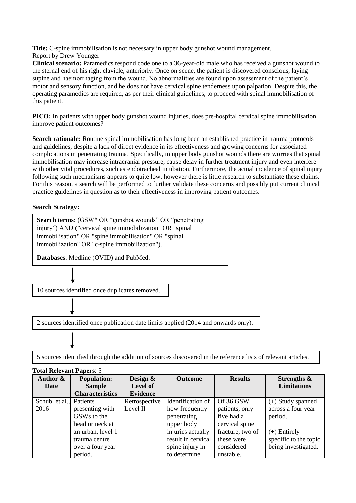**Title:** C-spine immobilisation is not necessary in upper body gunshot wound management. Report by Drew Younger

**Clinical scenario:** Paramedics respond code one to a 36-year-old male who has received a gunshot wound to the sternal end of his right clavicle, anteriorly. Once on scene, the patient is discovered conscious, laying supine and haemorrhaging from the wound. No abnormalities are found upon assessment of the patient's motor and sensory function, and he does not have cervical spine tenderness upon palpation. Despite this, the operating paramedics are required, as per their clinical guidelines, to proceed with spinal immobilisation of this patient.

**PICO:** In patients with upper body gunshot wound injuries, does pre-hospital cervical spine immobilisation improve patient outcomes?

**Search rationale:** Routine spinal immobilisation has long been an established practice in trauma protocols and guidelines, despite a lack of direct evidence in its effectiveness and growing concerns for associated complications in penetrating trauma. Specifically, in upper body gunshot wounds there are worries that spinal immobilisation may increase intracranial pressure, cause delay in further treatment injury and even interfere with other vital procedures, such as endotracheal intubation. Furthermore, the actual incidence of spinal injury following such mechanisms appears to quite low, however there is little research to substantiate these claims. For this reason, a search will be performed to further validate these concerns and possibly put current clinical practice guidelines in question as to their effectiveness in improving patient outcomes.

## **Search Strategy:**

**Search terms**: (GSW\* OR "gunshot wounds" OR "penetrating injury") AND ("cervical spine immobilization" OR "spinal immobilisation" OR "spine immobilisation" OR "spinal immobilization" OR "c-spine immobilization").

**Databases**: Medline (OVID) and PubMed.

10 sources identified once duplicates removed.

2 sources identified once publication date limits applied (2014 and onwards only).

5 sources identified through the addition of sources discovered in the reference lists of relevant articles.

| $100.41$ reference a apero. $3$ |                         |                 |                    |                  |                       |  |
|---------------------------------|-------------------------|-----------------|--------------------|------------------|-----------------------|--|
| Author &                        | <b>Population:</b>      | Design $\&$     | <b>Outcome</b>     | <b>Results</b>   | Strengths &           |  |
| Date                            | <b>Sample</b>           | Level of        |                    |                  | <b>Limitations</b>    |  |
|                                 | <b>Characteristics</b>  | <b>Evidence</b> |                    |                  |                       |  |
| Schubl et al., Patients         |                         | Retrospective   | Identification of  | Of 36 GSW        | $(+)$ Study spanned   |  |
| 2016                            | presenting with         | Level II        | how frequently     | patients, only   | across a four year    |  |
|                                 | GSW <sub>s</sub> to the |                 | penetrating        | five had a       | period.               |  |
|                                 | head or neck at         |                 | upper body         | cervical spine   |                       |  |
|                                 | an urban, level 1       |                 | injuries actually  | fracture, two of | $(+)$ Entirely        |  |
|                                 | trauma centre           |                 | result in cervical | these were       | specific to the topic |  |
|                                 | over a four year        |                 | spine injury in    | considered       | being investigated.   |  |
|                                 | period.                 |                 | to determine       | unstable.        |                       |  |

## **Total Relevant Papers**: 5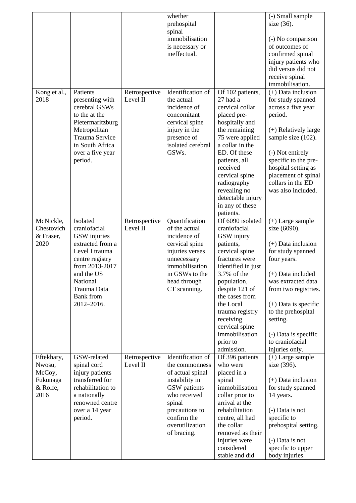|                                                                |                                                                                                                                                                                                |                           | whether<br>prehospital<br>spinal<br>immobilisation<br>is necessary or<br>ineffectual.                                                                                                  |                                                                                                                                                                                                                                                                                                    | (-) Small sample<br>size $(36)$ .<br>(-) No comparison<br>of outcomes of<br>confirmed spinal<br>injury patients who<br>did versus did not<br>receive spinal<br>immobilisation.                                                                                                               |
|----------------------------------------------------------------|------------------------------------------------------------------------------------------------------------------------------------------------------------------------------------------------|---------------------------|----------------------------------------------------------------------------------------------------------------------------------------------------------------------------------------|----------------------------------------------------------------------------------------------------------------------------------------------------------------------------------------------------------------------------------------------------------------------------------------------------|----------------------------------------------------------------------------------------------------------------------------------------------------------------------------------------------------------------------------------------------------------------------------------------------|
| Kong et al.,<br>2018                                           | Patients<br>presenting with<br>cerebral GSWs<br>to the at the<br>Pietermaritzburg<br>Metropolitan<br>Trauma Service<br>in South Africa<br>over a five year<br>period.                          | Retrospective<br>Level II | Identification of<br>the actual<br>incidence of<br>concomitant<br>cervical spine<br>injury in the<br>presence of<br>isolated cerebral<br>GSWs.                                         | Of 102 patients,<br>27 had a<br>cervical collar<br>placed pre-<br>hospitally and<br>the remaining<br>75 were applied<br>a collar in the<br>ED. Of these<br>patients, all<br>received<br>cervical spine<br>radiography<br>revealing no<br>detectable injury<br>in any of these<br>patients.         | $(+)$ Data inclusion<br>for study spanned<br>across a five year<br>period.<br>$(+)$ Relatively large<br>sample size (102).<br>(-) Not entirely<br>specific to the pre-<br>hospital setting as<br>placement of spinal<br>collars in the ED<br>was also included.                              |
| McNickle,<br>Chestovich<br>& Fraser,<br>2020                   | Isolated<br>craniofacial<br>GSW injuries<br>extracted from a<br>Level I trauma<br>centre registry<br>from 2013-2017<br>and the US<br>National<br>Trauma Data<br><b>Bank</b> from<br>2012-2016. | Retrospective<br>Level II | Quantification<br>of the actual<br>incidence of<br>cervical spine<br>injuries verses<br>unnecessary<br>immobilisation<br>in GSWs to the<br>head through<br>CT scanning.                | Of 6090 isolated<br>craniofacial<br>GSW injury<br>patients,<br>cervical spine<br>fractures were<br>identified in just<br>3.7% of the<br>population,<br>despite 121 of<br>the cases from<br>the Local<br>trauma registry<br>receiving<br>cervical spine<br>immobilisation<br>prior to<br>admission. | $(+)$ Large sample<br>size (6090).<br>$(+)$ Data inclusion<br>for study spanned<br>four years.<br>$(+)$ Data included<br>was extracted data<br>from two registries.<br>$(+)$ Data is specific<br>to the prehospital<br>setting.<br>(-) Data is specific<br>to craniofacial<br>injuries only. |
| Eftekhary,<br>Nwosu,<br>McCoy,<br>Fukunaga<br>& Rolfe,<br>2016 | GSW-related<br>spinal cord<br>injury patients<br>transferred for<br>rehabilitation to<br>a nationally<br>renowned centre<br>over a 14 year<br>period.                                          | Retrospective<br>Level II | Identification of<br>the commonness<br>of actual spinal<br>instability in<br>GSW patients<br>who received<br>spinal<br>precautions to<br>confirm the<br>overutilization<br>of bracing. | Of 396 patients<br>who were<br>placed in a<br>spinal<br>immobilisation<br>collar prior to<br>arrival at the<br>rehabilitation<br>centre, all had<br>the collar<br>removed as their<br>injuries were<br>considered<br>stable and did                                                                | $(+)$ Large sample<br>size (396).<br>$(+)$ Data inclusion<br>for study spanned<br>14 years.<br>(-) Data is not<br>specific to<br>prehospital setting.<br>(-) Data is not<br>specific to upper<br>body injuries.                                                                              |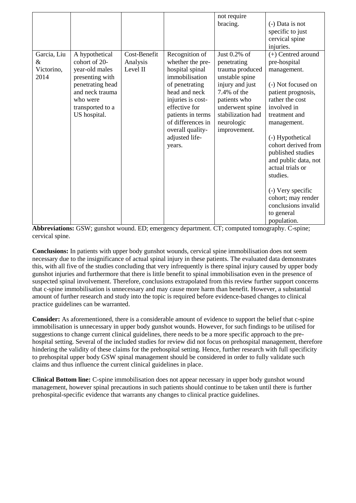| Garcia, Liu<br>&<br>Victorino,<br>2014 | A hypothetical<br>cohort of 20-<br>year-old males<br>presenting with<br>penetrating head<br>and neck trauma<br>who were | Cost-Benefit<br>Analysis<br>Level II | Recognition of<br>whether the pre-<br>hospital spinal<br>immobilisation<br>of penetrating<br>head and neck<br>injuries is cost- | not require<br>bracing.<br>Just $0.2\%$ of<br>penetrating<br>trauma produced<br>unstable spine<br>injury and just<br>7.4% of the<br>patients who | (-) Data is not<br>specific to just<br>cervical spine<br>injuries.<br>(+) Centred around<br>pre-hospital<br>management.<br>(-) Not focused on<br>patient prognosis,<br>rather the cost |
|----------------------------------------|-------------------------------------------------------------------------------------------------------------------------|--------------------------------------|---------------------------------------------------------------------------------------------------------------------------------|--------------------------------------------------------------------------------------------------------------------------------------------------|----------------------------------------------------------------------------------------------------------------------------------------------------------------------------------------|
|                                        |                                                                                                                         |                                      |                                                                                                                                 |                                                                                                                                                  |                                                                                                                                                                                        |
|                                        | transported to a                                                                                                        |                                      | effective for                                                                                                                   | underwent spine                                                                                                                                  | involved in                                                                                                                                                                            |
|                                        | US hospital.                                                                                                            |                                      | patients in terms<br>of differences in<br>overall quality-                                                                      | stabilization had<br>neurologic<br>improvement.                                                                                                  | treatment and<br>management.                                                                                                                                                           |
|                                        |                                                                                                                         |                                      | adjusted life-<br>years.                                                                                                        |                                                                                                                                                  | (-) Hypothetical<br>cohort derived from<br>published studies                                                                                                                           |
|                                        |                                                                                                                         |                                      |                                                                                                                                 |                                                                                                                                                  | and public data, not<br>actual trials or<br>studies.                                                                                                                                   |
|                                        |                                                                                                                         |                                      |                                                                                                                                 |                                                                                                                                                  | (-) Very specific                                                                                                                                                                      |
|                                        |                                                                                                                         |                                      |                                                                                                                                 |                                                                                                                                                  | cohort; may render<br>conclusions invalid<br>to general<br>population.                                                                                                                 |

**Abbreviations:** GSW; gunshot wound. ED; emergency department. CT; computed tomography. C-spine; cervical spine.

**Conclusions:** In patients with upper body gunshot wounds, cervical spine immobilisation does not seem necessary due to the insignificance of actual spinal injury in these patients. The evaluated data demonstrates this, with all five of the studies concluding that very infrequently is there spinal injury caused by upper body gunshot injuries and furthermore that there is little benefit to spinal immobilisation even in the presence of suspected spinal involvement. Therefore, conclusions extrapolated from this review further support concerns that c-spine immobilisation is unnecessary and may cause more harm than benefit. However, a substantial amount of further research and study into the topic is required before evidence-based changes to clinical practice guidelines can be warranted.

**Consider:** As aforementioned, there is a considerable amount of evidence to support the belief that c-spine immobilisation is unnecessary in upper body gunshot wounds. However, for such findings to be utilised for suggestions to change current clinical guidelines, there needs to be a more specific approach to the prehospital setting. Several of the included studies for review did not focus on prehospital management, therefore hindering the validity of these claims for the prehospital setting. Hence, further research with full specificity to prehospital upper body GSW spinal management should be considered in order to fully validate such claims and thus influence the current clinical guidelines in place.

**Clinical Bottom line:** C-spine immobilisation does not appear necessary in upper body gunshot wound management, however spinal precautions in such patients should continue to be taken until there is further prehospital-specific evidence that warrants any changes to clinical practice guidelines.